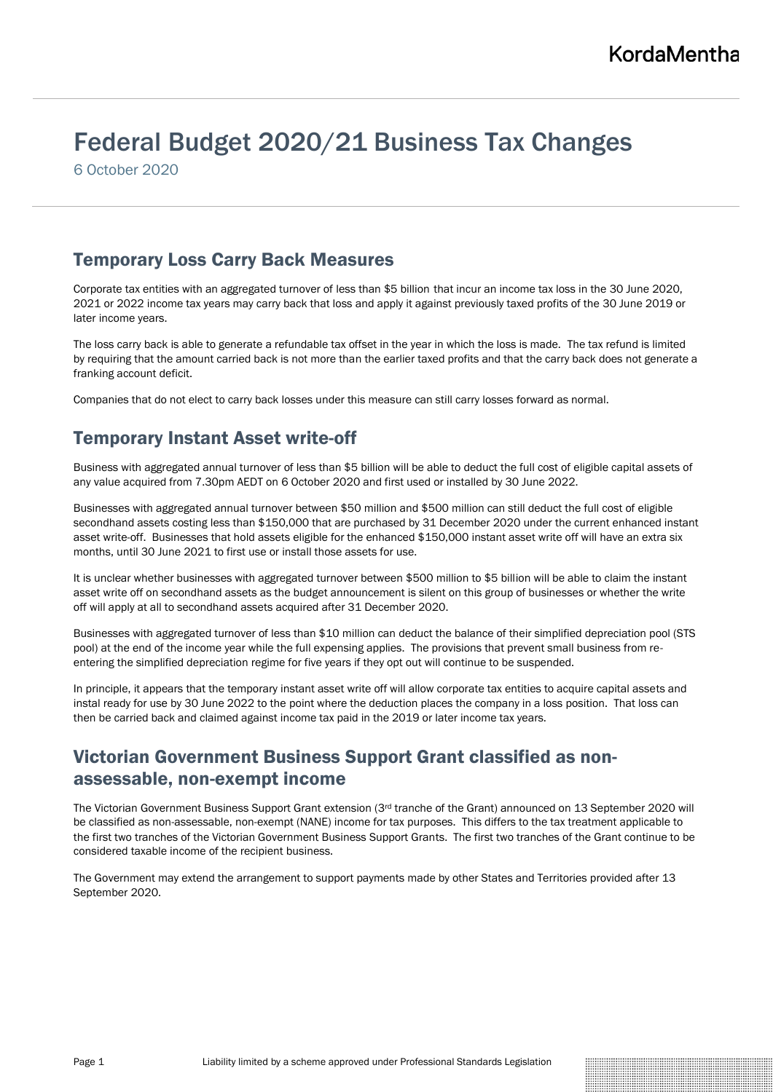# Federal Budget 2020/21 Business Tax Changes

6 October 2020

#### Temporary Loss Carry Back Measures

Corporate tax entities with an aggregated turnover of less than \$5 billion that incur an income tax loss in the 30 June 2020, 2021 or 2022 income tax years may carry back that loss and apply it against previously taxed profits of the 30 June 2019 or later income years.

The loss carry back is able to generate a refundable tax offset in the year in which the loss is made. The tax refund is limited by requiring that the amount carried back is not more than the earlier taxed profits and that the carry back does not generate a franking account deficit.

Companies that do not elect to carry back losses under this measure can still carry losses forward as normal.

# Temporary Instant Asset write-off

Business with aggregated annual turnover of less than \$5 billion will be able to deduct the full cost of eligible capital assets of any value acquired from 7.30pm AEDT on 6 October 2020 and first used or installed by 30 June 2022.

Businesses with aggregated annual turnover between \$50 million and \$500 million can still deduct the full cost of eligible secondhand assets costing less than \$150,000 that are purchased by 31 December 2020 under the current enhanced instant asset write-off. Businesses that hold assets eligible for the enhanced \$150,000 instant asset write off will have an extra six months, until 30 June 2021 to first use or install those assets for use.

It is unclear whether businesses with aggregated turnover between \$500 million to \$5 billion will be able to claim the instant asset write off on secondhand assets as the budget announcement is silent on this group of businesses or whether the write off will apply at all to secondhand assets acquired after 31 December 2020.

Businesses with aggregated turnover of less than \$10 million can deduct the balance of their simplified depreciation pool (STS pool) at the end of the income year while the full expensing applies. The provisions that prevent small business from reentering the simplified depreciation regime for five years if they opt out will continue to be suspended.

In principle, it appears that the temporary instant asset write off will allow corporate tax entities to acquire capital assets and instal ready for use by 30 June 2022 to the point where the deduction places the company in a loss position. That loss can then be carried back and claimed against income tax paid in the 2019 or later income tax years.

# Victorian Government Business Support Grant classified as nonassessable, non-exempt income

The Victorian Government Business Support Grant extension (3rd tranche of the Grant) announced on 13 September 2020 will be classified as non-assessable, non-exempt (NANE) income for tax purposes. This differs to the tax treatment applicable to the first two tranches of the Victorian Government Business Support Grants. The first two tranches of the Grant continue to be considered taxable income of the recipient business.

The Government may extend the arrangement to support payments made by other States and Territories provided after 13 September 2020.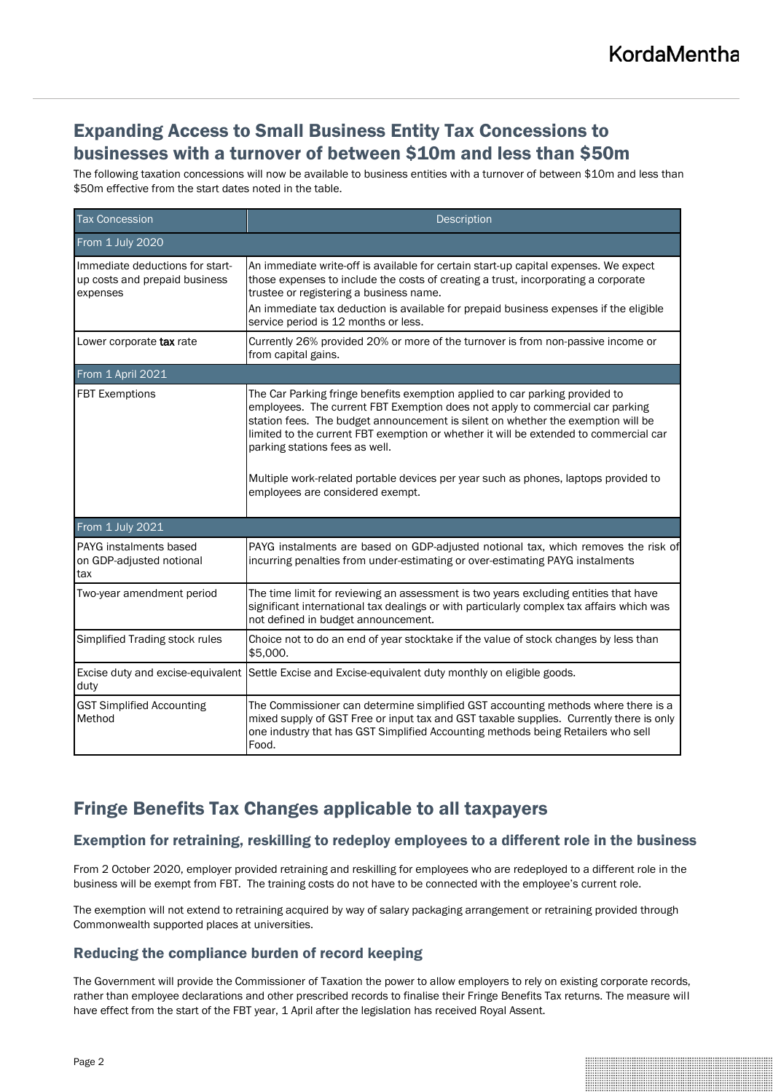### Expanding Access to Small Business Entity Tax Concessions to businesses with a turnover of between \$10m and less than \$50m

The following taxation concessions will now be available to business entities with a turnover of between \$10m and less than \$50m effective from the start dates noted in the table.

| <b>Tax Concession</b>                                                        | Description                                                                                                                                                                                                                                                                                                                                                                                                                                                                                             |
|------------------------------------------------------------------------------|---------------------------------------------------------------------------------------------------------------------------------------------------------------------------------------------------------------------------------------------------------------------------------------------------------------------------------------------------------------------------------------------------------------------------------------------------------------------------------------------------------|
| From 1 July 2020                                                             |                                                                                                                                                                                                                                                                                                                                                                                                                                                                                                         |
| Immediate deductions for start-<br>up costs and prepaid business<br>expenses | An immediate write-off is available for certain start-up capital expenses. We expect<br>those expenses to include the costs of creating a trust, incorporating a corporate<br>trustee or registering a business name.<br>An immediate tax deduction is available for prepaid business expenses if the eligible<br>service period is 12 months or less.                                                                                                                                                  |
| Lower corporate tax rate                                                     | Currently 26% provided 20% or more of the turnover is from non-passive income or<br>from capital gains.                                                                                                                                                                                                                                                                                                                                                                                                 |
| From 1 April 2021                                                            |                                                                                                                                                                                                                                                                                                                                                                                                                                                                                                         |
| <b>FBT Exemptions</b>                                                        | The Car Parking fringe benefits exemption applied to car parking provided to<br>employees. The current FBT Exemption does not apply to commercial car parking<br>station fees. The budget announcement is silent on whether the exemption will be<br>limited to the current FBT exemption or whether it will be extended to commercial car<br>parking stations fees as well.<br>Multiple work-related portable devices per year such as phones, laptops provided to<br>employees are considered exempt. |
| From 1 July 2021                                                             |                                                                                                                                                                                                                                                                                                                                                                                                                                                                                                         |
| PAYG instalments based<br>on GDP-adjusted notional<br>tax                    | PAYG instalments are based on GDP-adjusted notional tax, which removes the risk of<br>incurring penalties from under-estimating or over-estimating PAYG instalments                                                                                                                                                                                                                                                                                                                                     |
| Two-year amendment period                                                    | The time limit for reviewing an assessment is two years excluding entities that have<br>significant international tax dealings or with particularly complex tax affairs which was<br>not defined in budget announcement.                                                                                                                                                                                                                                                                                |
| Simplified Trading stock rules                                               | Choice not to do an end of year stocktake if the value of stock changes by less than<br>\$5,000.                                                                                                                                                                                                                                                                                                                                                                                                        |
| duty                                                                         | Excise duty and excise-equivalent Settle Excise and Excise-equivalent duty monthly on eligible goods.                                                                                                                                                                                                                                                                                                                                                                                                   |
| <b>GST Simplified Accounting</b><br>Method                                   | The Commissioner can determine simplified GST accounting methods where there is a<br>mixed supply of GST Free or input tax and GST taxable supplies. Currently there is only<br>one industry that has GST Simplified Accounting methods being Retailers who sell<br>Food.                                                                                                                                                                                                                               |

## Fringe Benefits Tax Changes applicable to all taxpayers

#### Exemption for retraining, reskilling to redeploy employees to a different role in the business

From 2 October 2020, employer provided retraining and reskilling for employees who are redeployed to a different role in the business will be exempt from FBT. The training costs do not have to be connected with the employee's current role.

The exemption will not extend to retraining acquired by way of salary packaging arrangement or retraining provided through Commonwealth supported places at universities.

#### Reducing the compliance burden of record keeping

The Government will provide the Commissioner of Taxation the power to allow employers to rely on existing corporate records, rather than employee declarations and other prescribed records to finalise their Fringe Benefits Tax returns. The measure will have effect from the start of the FBT year, 1 April after the legislation has received Royal Assent.